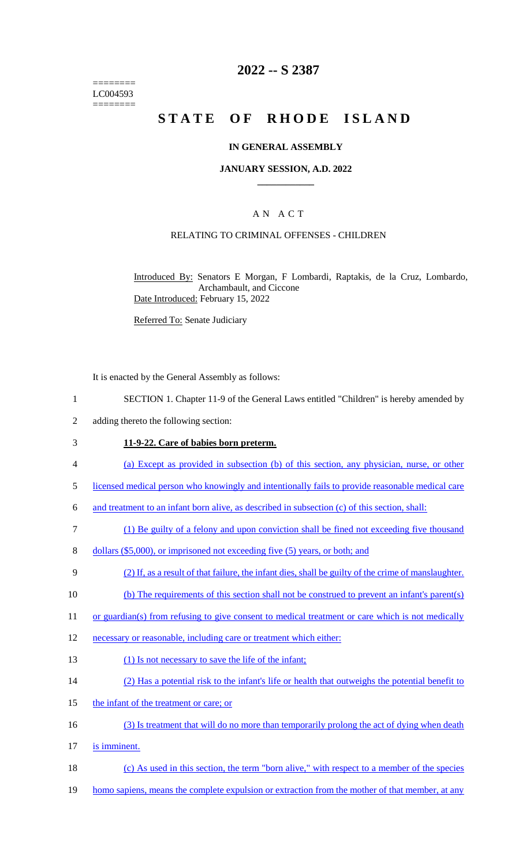======== LC004593 ========

# **2022 -- S 2387**

# **STATE OF RHODE ISLAND**

### **IN GENERAL ASSEMBLY**

### **JANUARY SESSION, A.D. 2022 \_\_\_\_\_\_\_\_\_\_\_\_**

### A N A C T

### RELATING TO CRIMINAL OFFENSES - CHILDREN

Introduced By: Senators E Morgan, F Lombardi, Raptakis, de la Cruz, Lombardo, Archambault, and Ciccone Date Introduced: February 15, 2022

Referred To: Senate Judiciary

It is enacted by the General Assembly as follows:

- 1 SECTION 1. Chapter 11-9 of the General Laws entitled "Children" is hereby amended by
- 2 adding thereto the following section:

#### 3 **11-9-22. Care of babies born preterm.**

- 4 (a) Except as provided in subsection (b) of this section, any physician, nurse, or other
- 5 licensed medical person who knowingly and intentionally fails to provide reasonable medical care

6 and treatment to an infant born alive, as described in subsection (c) of this section, shall:

- 7 (1) Be guilty of a felony and upon conviction shall be fined not exceeding five thousand
- 8 dollars (\$5,000), or imprisoned not exceeding five (5) years, or both; and
- 9 (2) If, as a result of that failure, the infant dies, shall be guilty of the crime of manslaughter.
- 10 (b) The requirements of this section shall not be construed to prevent an infant's parent(s)
- 11 or guardian(s) from refusing to give consent to medical treatment or care which is not medically
- 12 necessary or reasonable, including care or treatment which either:
- 13 (1) Is not necessary to save the life of the infant;
- 14 (2) Has a potential risk to the infant's life or health that outweighs the potential benefit to
- 15 the infant of the treatment or care; or
- 16 (3) Is treatment that will do no more than temporarily prolong the act of dying when death
- 17 is imminent.
- 18 (c) As used in this section, the term "born alive," with respect to a member of the species
- 19 homo sapiens, means the complete expulsion or extraction from the mother of that member, at any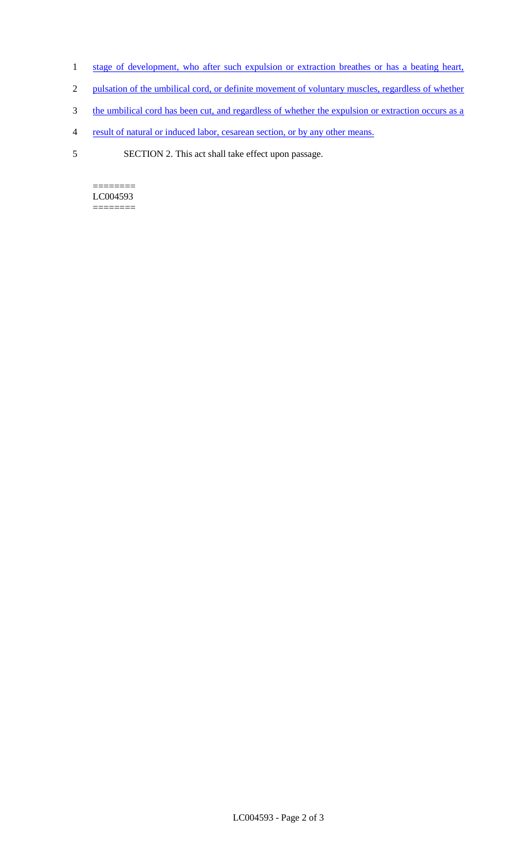- 1 stage of development, who after such expulsion or extraction breathes or has a beating heart,
- 2 pulsation of the umbilical cord, or definite movement of voluntary muscles, regardless of whether
- 3 the umbilical cord has been cut, and regardless of whether the expulsion or extraction occurs as a
- 4 result of natural or induced labor, cesarean section, or by any other means.
- 5 SECTION 2. This act shall take effect upon passage.

======== LC004593 ========